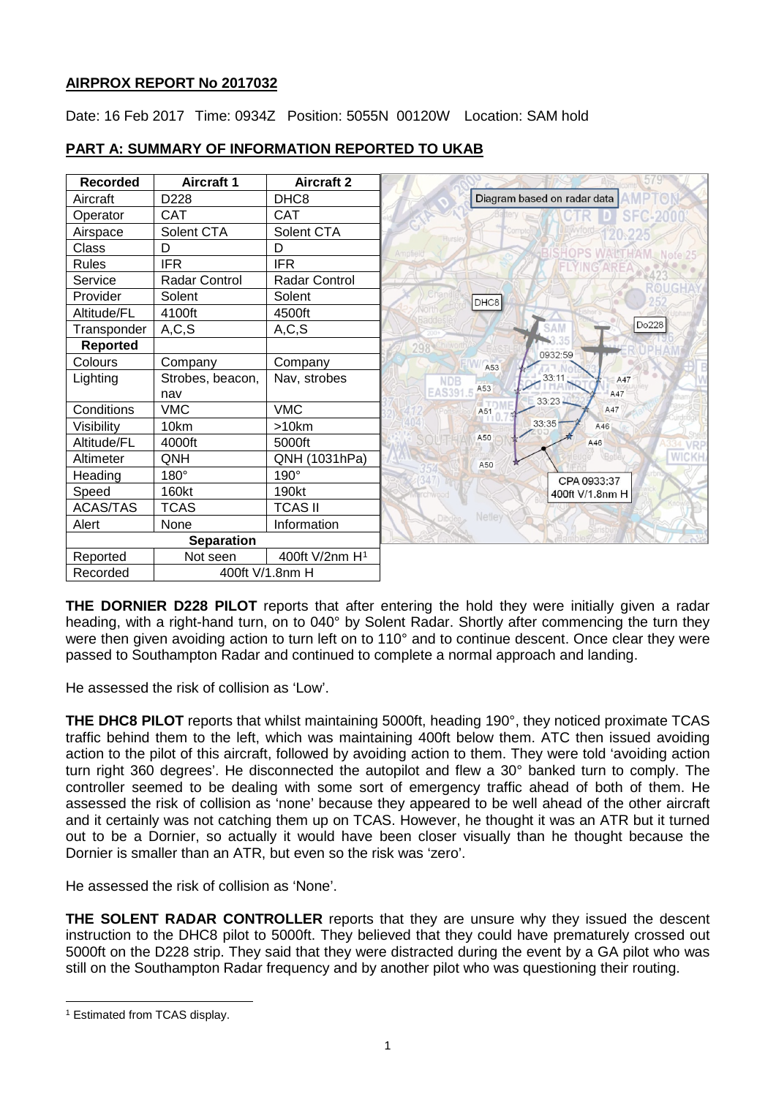# **AIRPROX REPORT No 2017032**

Date: 16 Feb 2017 Time: 0934Z Position: 5055N 00120W Location: SAM hold



## **PART A: SUMMARY OF INFORMATION REPORTED TO UKAB**

**THE DORNIER D228 PILOT** reports that after entering the hold they were initially given a radar heading, with a right-hand turn, on to 040° by Solent Radar. Shortly after commencing the turn they were then given avoiding action to turn left on to 110° and to continue descent. Once clear they were passed to Southampton Radar and continued to complete a normal approach and landing.

He assessed the risk of collision as 'Low'.

**THE DHC8 PILOT** reports that whilst maintaining 5000ft, heading 190°, they noticed proximate TCAS traffic behind them to the left, which was maintaining 400ft below them. ATC then issued avoiding action to the pilot of this aircraft, followed by avoiding action to them. They were told 'avoiding action turn right 360 degrees'. He disconnected the autopilot and flew a 30° banked turn to comply. The controller seemed to be dealing with some sort of emergency traffic ahead of both of them. He assessed the risk of collision as 'none' because they appeared to be well ahead of the other aircraft and it certainly was not catching them up on TCAS. However, he thought it was an ATR but it turned out to be a Dornier, so actually it would have been closer visually than he thought because the Dornier is smaller than an ATR, but even so the risk was 'zero'.

He assessed the risk of collision as 'None'.

**THE SOLENT RADAR CONTROLLER** reports that they are unsure why they issued the descent instruction to the DHC8 pilot to 5000ft. They believed that they could have prematurely crossed out 5000ft on the D228 strip. They said that they were distracted during the event by a GA pilot who was still on the Southampton Radar frequency and by another pilot who was questioning their routing.

 $\overline{\phantom{a}}$ 

<span id="page-0-0"></span><sup>1</sup> Estimated from TCAS display.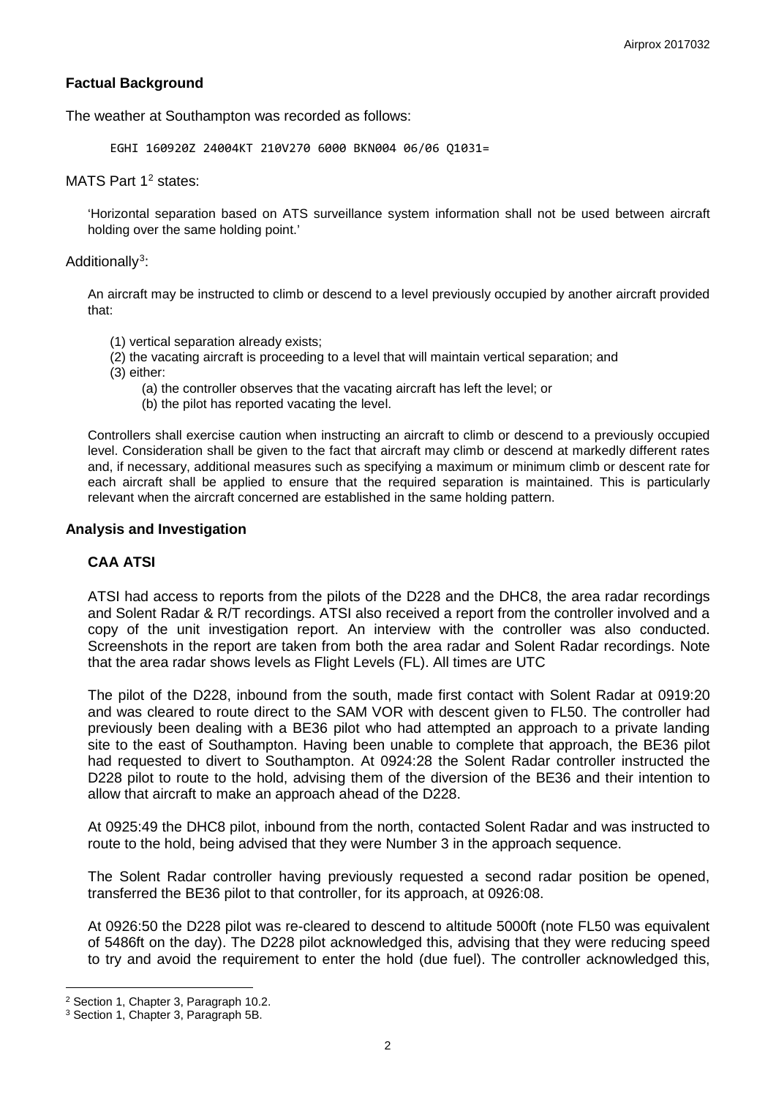## **Factual Background**

The weather at Southampton was recorded as follows:

EGHI 160920Z 24004KT 210V270 6000 BKN004 06/06 Q1031=

### MATS Part 1<sup>[2](#page-1-0)</sup> states:

'Horizontal separation based on ATS surveillance system information shall not be used between aircraft holding over the same holding point.'

## Additionally<sup>[3](#page-1-1)</sup>:

An aircraft may be instructed to climb or descend to a level previously occupied by another aircraft provided that:

- (1) vertical separation already exists;
- (2) the vacating aircraft is proceeding to a level that will maintain vertical separation; and
- (3) either:
	- (a) the controller observes that the vacating aircraft has left the level; or
	- (b) the pilot has reported vacating the level.

Controllers shall exercise caution when instructing an aircraft to climb or descend to a previously occupied level. Consideration shall be given to the fact that aircraft may climb or descend at markedly different rates and, if necessary, additional measures such as specifying a maximum or minimum climb or descent rate for each aircraft shall be applied to ensure that the required separation is maintained. This is particularly relevant when the aircraft concerned are established in the same holding pattern.

### **Analysis and Investigation**

### **CAA ATSI**

ATSI had access to reports from the pilots of the D228 and the DHC8, the area radar recordings and Solent Radar & R/T recordings. ATSI also received a report from the controller involved and a copy of the unit investigation report. An interview with the controller was also conducted. Screenshots in the report are taken from both the area radar and Solent Radar recordings. Note that the area radar shows levels as Flight Levels (FL). All times are UTC

The pilot of the D228, inbound from the south, made first contact with Solent Radar at 0919:20 and was cleared to route direct to the SAM VOR with descent given to FL50. The controller had previously been dealing with a BE36 pilot who had attempted an approach to a private landing site to the east of Southampton. Having been unable to complete that approach, the BE36 pilot had requested to divert to Southampton. At 0924:28 the Solent Radar controller instructed the D228 pilot to route to the hold, advising them of the diversion of the BE36 and their intention to allow that aircraft to make an approach ahead of the D228.

At 0925:49 the DHC8 pilot, inbound from the north, contacted Solent Radar and was instructed to route to the hold, being advised that they were Number 3 in the approach sequence.

The Solent Radar controller having previously requested a second radar position be opened, transferred the BE36 pilot to that controller, for its approach, at 0926:08.

At 0926:50 the D228 pilot was re-cleared to descend to altitude 5000ft (note FL50 was equivalent of 5486ft on the day). The D228 pilot acknowledged this, advising that they were reducing speed to try and avoid the requirement to enter the hold (due fuel). The controller acknowledged this,

l

<span id="page-1-0"></span><sup>2</sup> Section 1, Chapter 3, Paragraph 10.2.

<span id="page-1-1"></span><sup>3</sup> Section 1, Chapter 3, Paragraph 5B.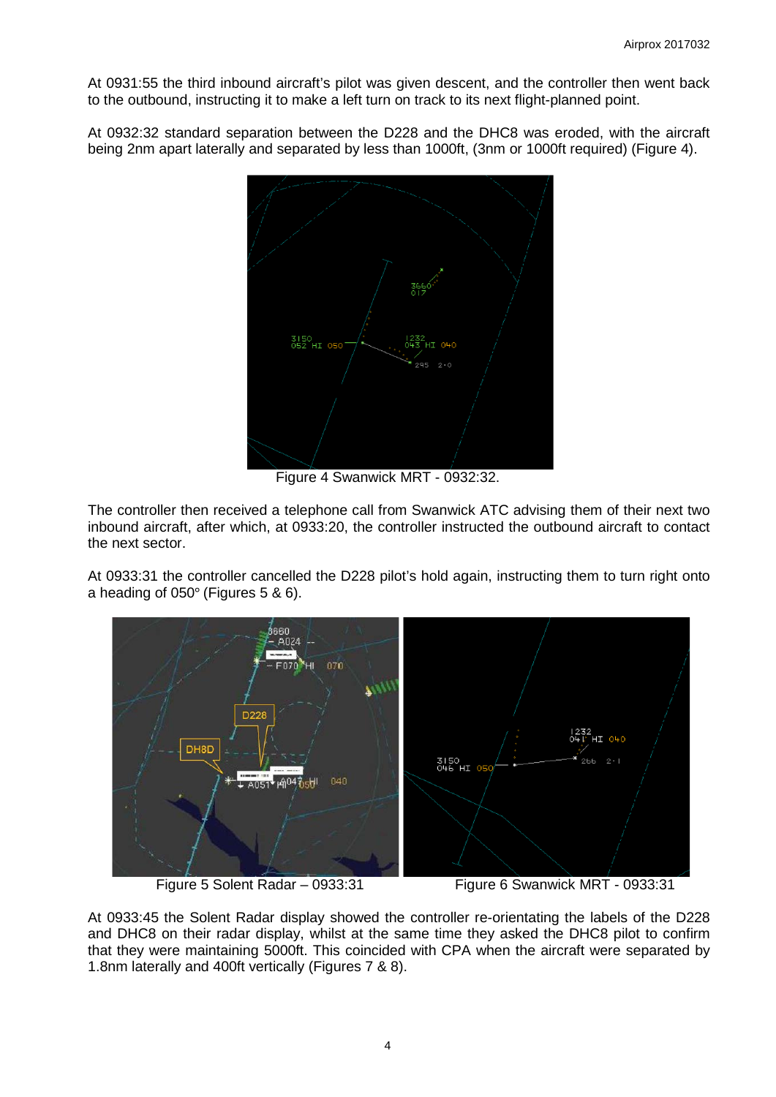# AIRPROX REPORT No 2017032

Date: 16 Feb 2017 Time: 0934Z Position: 5055N 00120W Location: SAM hold



# **PART A: SUMMARY OF INFORMATION REPORTED TO UKAB**

THE DORNIER D228 PILOT reports that after entering the hold they were initially given a radar heading, with a right-hand turn, on to 040° by Solent Radar. Shortly after commencing the turn they were then given avoiding action to turn left on to 110° and to continue descent. Once clear they were passed to Southampton Radar and continued to complete a normal approach and landing.

He assessed the risk of collision as 'Low'.

**THE DHC8 PILOT** reports that whilst maintaining 5000ft, heading 190°, they noticed proximate TCAS traffic behind them to the left, which was maintaining 400ft below them. ATC then issued avoiding action to the pilot of this aircraft, followed by avoiding action to them. They were told 'avoiding action turn right 360 degrees'. He disconnected the autopilot and flew a 30° banked turn to comply. The controller seemed to be dealing with some sort of emergency traffic ahead of both of them. He assessed the risk of collision as 'none' because they appeared to be well ahead of the other aircraft and it certainly was not catching them up on TCAS. However, he thought it was an ATR but it turned out to be a Dornier, so actually it would have been closer visually than he thought because the Dornier is smaller than an ATR, but even so the risk was 'zero'.

He assessed the risk of collision as 'None'.

THE SOLENT RADAR CONTROLLER reports that they are unsure why they issued the descent instruction to the DHC8 pilot to 5000ft. They believed that they could have prematurely crossed out 5000ft on the D228 strip. They said that they were distracted during the event by a GA pilot who was still on the Southampton Radar frequency and by another pilot who was questioning their routing.

<sup>&</sup>lt;sup>1</sup> Estimated from TCAS display.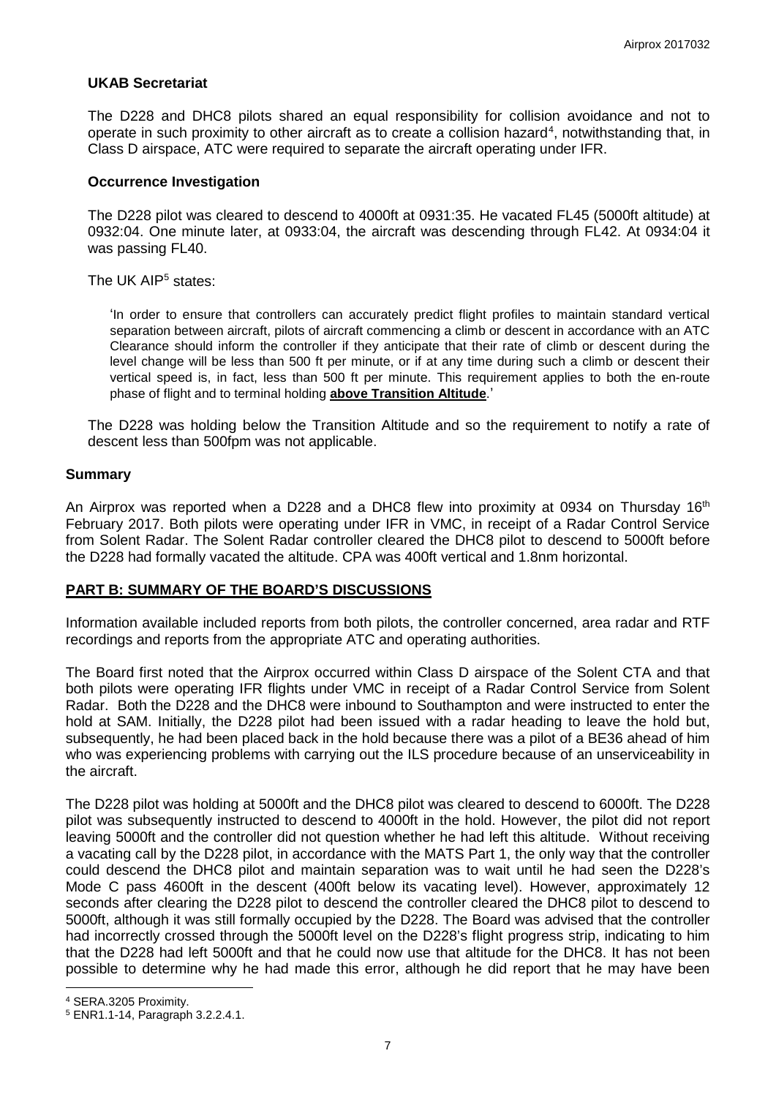### **UKAB Secretariat**

The D228 and DHC8 pilots shared an equal responsibility for collision avoidance and not to operate in such proximity to other aircraft as to create a collision hazard<sup>[4](#page-6-0)</sup>, notwithstanding that, in Class D airspace, ATC were required to separate the aircraft operating under IFR.

### **Occurrence Investigation**

The D228 pilot was cleared to descend to 4000ft at 0931:35. He vacated FL45 (5000ft altitude) at 0932:04. One minute later, at 0933:04, the aircraft was descending through FL42. At 0934:04 it was passing FL40.

The UK AIP<sup>[5](#page-6-1)</sup> states:

'In order to ensure that controllers can accurately predict flight profiles to maintain standard vertical separation between aircraft, pilots of aircraft commencing a climb or descent in accordance with an ATC Clearance should inform the controller if they anticipate that their rate of climb or descent during the level change will be less than 500 ft per minute, or if at any time during such a climb or descent their vertical speed is, in fact, less than 500 ft per minute. This requirement applies to both the en-route phase of flight and to terminal holding **above Transition Altitude**.'

The D228 was holding below the Transition Altitude and so the requirement to notify a rate of descent less than 500fpm was not applicable.

#### **Summary**

An Airprox was reported when a D228 and a DHC8 flew into proximity at 0934 on Thursday 16<sup>th</sup> February 2017. Both pilots were operating under IFR in VMC, in receipt of a Radar Control Service from Solent Radar. The Solent Radar controller cleared the DHC8 pilot to descend to 5000ft before the D228 had formally vacated the altitude. CPA was 400ft vertical and 1.8nm horizontal.

### **PART B: SUMMARY OF THE BOARD'S DISCUSSIONS**

Information available included reports from both pilots, the controller concerned, area radar and RTF recordings and reports from the appropriate ATC and operating authorities.

The Board first noted that the Airprox occurred within Class D airspace of the Solent CTA and that both pilots were operating IFR flights under VMC in receipt of a Radar Control Service from Solent Radar. Both the D228 and the DHC8 were inbound to Southampton and were instructed to enter the hold at SAM. Initially, the D228 pilot had been issued with a radar heading to leave the hold but, subsequently, he had been placed back in the hold because there was a pilot of a BE36 ahead of him who was experiencing problems with carrying out the ILS procedure because of an unserviceability in the aircraft.

The D228 pilot was holding at 5000ft and the DHC8 pilot was cleared to descend to 6000ft. The D228 pilot was subsequently instructed to descend to 4000ft in the hold. However, the pilot did not report leaving 5000ft and the controller did not question whether he had left this altitude. Without receiving a vacating call by the D228 pilot, in accordance with the MATS Part 1, the only way that the controller could descend the DHC8 pilot and maintain separation was to wait until he had seen the D228's Mode C pass 4600ft in the descent (400ft below its vacating level). However, approximately 12 seconds after clearing the D228 pilot to descend the controller cleared the DHC8 pilot to descend to 5000ft, although it was still formally occupied by the D228. The Board was advised that the controller had incorrectly crossed through the 5000ft level on the D228's flight progress strip, indicating to him that the D228 had left 5000ft and that he could now use that altitude for the DHC8. It has not been possible to determine why he had made this error, although he did report that he may have been

l

<span id="page-6-0"></span><sup>4</sup> SERA.3205 Proximity.

<span id="page-6-1"></span><sup>5</sup> ENR1.1-14, Paragraph 3.2.2.4.1.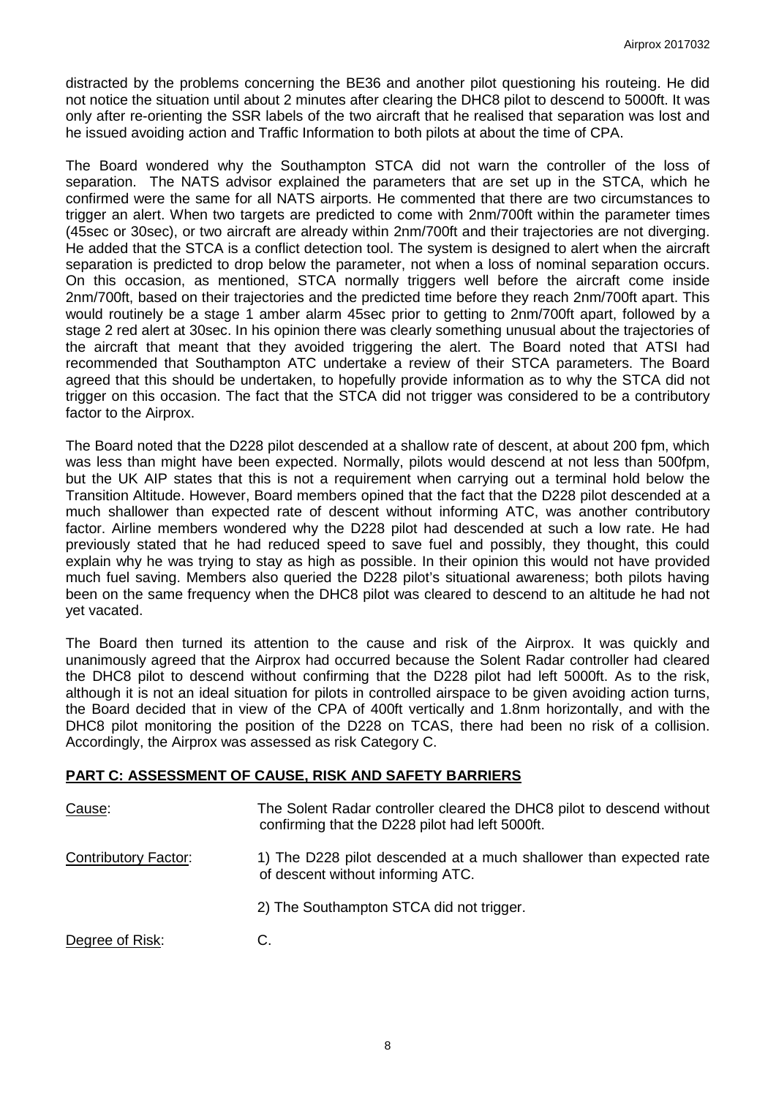distracted by the problems concerning the BE36 and another pilot questioning his routeing. He did not notice the situation until about 2 minutes after clearing the DHC8 pilot to descend to 5000ft. It was only after re-orienting the SSR labels of the two aircraft that he realised that separation was lost and he issued avoiding action and Traffic Information to both pilots at about the time of CPA.

The Board wondered why the Southampton STCA did not warn the controller of the loss of separation. The NATS advisor explained the parameters that are set up in the STCA, which he confirmed were the same for all NATS airports. He commented that there are two circumstances to trigger an alert. When two targets are predicted to come with 2nm/700ft within the parameter times (45sec or 30sec), or two aircraft are already within 2nm/700ft and their trajectories are not diverging. He added that the STCA is a conflict detection tool. The system is designed to alert when the aircraft separation is predicted to drop below the parameter, not when a loss of nominal separation occurs. On this occasion, as mentioned, STCA normally triggers well before the aircraft come inside 2nm/700ft, based on their trajectories and the predicted time before they reach 2nm/700ft apart. This would routinely be a stage 1 amber alarm 45sec prior to getting to 2nm/700ft apart, followed by a stage 2 red alert at 30sec. In his opinion there was clearly something unusual about the trajectories of the aircraft that meant that they avoided triggering the alert. The Board noted that ATSI had recommended that Southampton ATC undertake a review of their STCA parameters. The Board agreed that this should be undertaken, to hopefully provide information as to why the STCA did not trigger on this occasion. The fact that the STCA did not trigger was considered to be a contributory factor to the Airprox.

The Board noted that the D228 pilot descended at a shallow rate of descent, at about 200 fpm, which was less than might have been expected. Normally, pilots would descend at not less than 500fpm, but the UK AIP states that this is not a requirement when carrying out a terminal hold below the Transition Altitude. However, Board members opined that the fact that the D228 pilot descended at a much shallower than expected rate of descent without informing ATC, was another contributory factor. Airline members wondered why the D228 pilot had descended at such a low rate. He had previously stated that he had reduced speed to save fuel and possibly, they thought, this could explain why he was trying to stay as high as possible. In their opinion this would not have provided much fuel saving. Members also queried the D228 pilot's situational awareness; both pilots having been on the same frequency when the DHC8 pilot was cleared to descend to an altitude he had not yet vacated.

The Board then turned its attention to the cause and risk of the Airprox. It was quickly and unanimously agreed that the Airprox had occurred because the Solent Radar controller had cleared the DHC8 pilot to descend without confirming that the D228 pilot had left 5000ft. As to the risk, although it is not an ideal situation for pilots in controlled airspace to be given avoiding action turns, the Board decided that in view of the CPA of 400ft vertically and 1.8nm horizontally, and with the DHC8 pilot monitoring the position of the D228 on TCAS, there had been no risk of a collision. Accordingly, the Airprox was assessed as risk Category C.

### **PART C: ASSESSMENT OF CAUSE, RISK AND SAFETY BARRIERS**

| Cause:                      | The Solent Radar controller cleared the DHC8 pilot to descend without<br>confirming that the D228 pilot had left 5000ft. |
|-----------------------------|--------------------------------------------------------------------------------------------------------------------------|
| <b>Contributory Factor:</b> | 1) The D228 pilot descended at a much shallower than expected rate<br>of descent without informing ATC.                  |
|                             | 2) The Southampton STCA did not trigger.                                                                                 |
| Degree of Risk:             | C.                                                                                                                       |